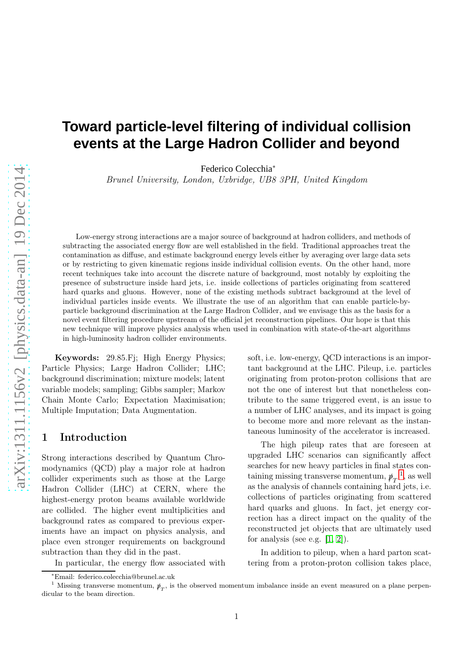# **Toward particle-level filtering of individual collision events at the Large Hadron Collider and beyond**

Federico Colecchia<sup>∗</sup>

Brunel University, London, Uxbridge, UB8 3PH, United Kingdom

Low-energy strong interactions are a major source of background at hadron colliders, and methods of subtracting the associated energy flow are well established in the field. Traditional approaches treat the contamination as diffuse, and estimate background energy levels either by averaging over large data sets or by restricting to given kinematic regions inside individual collision events. On the other hand, more recent techniques take into account the discrete nature of background, most notably by exploiting the presence of substructure inside hard jets, i.e. inside collections of particles originating from scattered hard quarks and gluons. However, none of the existing methods subtract background at the level of individual particles inside events. We illustrate the use of an algorithm that can enable particle-byparticle background discrimination at the Large Hadron Collider, and we envisage this as the basis for a novel event filtering procedure upstream of the official jet reconstruction pipelines. Our hope is that this new technique will improve physics analysis when used in combination with state-of-the-art algorithms in high-luminosity hadron collider environments.

Keywords: 29.85.Fj; High Energy Physics; Particle Physics; Large Hadron Collider; LHC; background discrimination; mixture models; latent variable models; sampling; Gibbs sampler; Markov Chain Monte Carlo; Expectation Maximisation; Multiple Imputation; Data Augmentation.

#### 1 Introduction

Strong interactions described by Quantum Chromodynamics (QCD) play a major role at hadron collider experiments such as those at the Large Hadron Collider (LHC) at CERN, where the highest-energy proton beams available worldwide are collided. The higher event multiplicities and background rates as compared to previous experiments have an impact on physics analysis, and place even stronger requirements on background subtraction than they did in the past.

In particular, the energy flow associated with

The high pileup rates that are foreseen at upgraded LHC scenarios can significantly affect searches for new heavy particles in final states containing missing transverse momentum,  $p\llap/_T$ <sup>[1](#page-0-0)</sup>, as well as the analysis of channels containing hard jets, i.e. collections of particles originating from scattered hard quarks and gluons. In fact, jet energy correction has a direct impact on the quality of the reconstructed jet objects that are ultimately used for analysis (see e.g.  $[1, 2]$  $[1, 2]$ ).

In addition to pileup, when a hard parton scattering from a proton-proton collision takes place,

soft, i.e. low-energy, QCD interactions is an important background at the LHC. Pileup, i.e. particles originating from proton-proton collisions that are not the one of interest but that nonetheless contribute to the same triggered event, is an issue to a number of LHC analyses, and its impact is going to become more and more relevant as the instantaneous luminosity of the accelerator is increased.

<sup>∗</sup>Email: federico.colecchia@brunel.ac.uk

<span id="page-0-0"></span><sup>&</sup>lt;sup>1</sup> Missing transverse momentum,  $\psi_T$ , is the observed momentum imbalance inside an event measured on a plane perpendicular to the beam direction.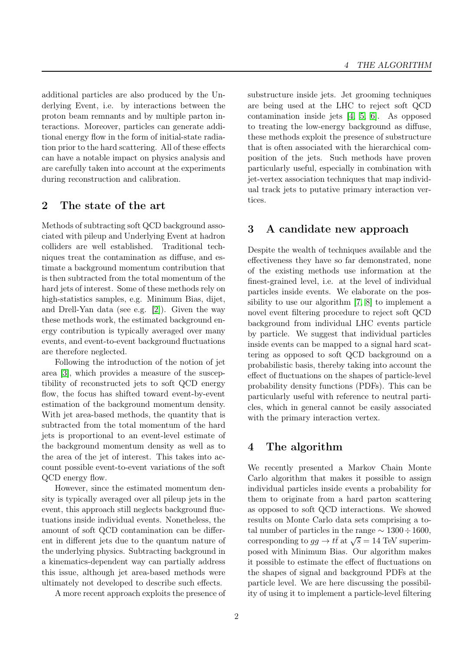additional particles are also produced by the Underlying Event, i.e. by interactions between the proton beam remnants and by multiple parton interactions. Moreover, particles can generate additional energy flow in the form of initial-state radiation prior to the hard scattering. All of these effects can have a notable impact on physics analysis and are carefully taken into account at the experiments during reconstruction and calibration.

# 2 The state of the art

Methods of subtracting soft QCD background associated with pileup and Underlying Event at hadron colliders are well established. Traditional techniques treat the contamination as diffuse, and estimate a background momentum contribution that is then subtracted from the total momentum of the hard jets of interest. Some of these methods rely on high-statistics samples, e.g. Minimum Bias, dijet, and Drell-Yan data (see e.g. [\[2\]](#page-4-1)). Given the way these methods work, the estimated background energy contribution is typically averaged over many events, and event-to-event background fluctuations are therefore neglected.

Following the introduction of the notion of jet area [\[3\]](#page-4-2), which provides a measure of the susceptibility of reconstructed jets to soft QCD energy flow, the focus has shifted toward event-by-event estimation of the background momentum density. With jet area-based methods, the quantity that is subtracted from the total momentum of the hard jets is proportional to an event-level estimate of the background momentum density as well as to the area of the jet of interest. This takes into account possible event-to-event variations of the soft QCD energy flow.

However, since the estimated momentum density is typically averaged over all pileup jets in the event, this approach still neglects background fluctuations inside individual events. Nonetheless, the amount of soft QCD contamination can be different in different jets due to the quantum nature of the underlying physics. Subtracting background in a kinematics-dependent way can partially address this issue, although jet area-based methods were ultimately not developed to describe such effects.

A more recent approach exploits the presence of

substructure inside jets. Jet grooming techniques are being used at the LHC to reject soft QCD contamination inside jets [\[4,](#page-4-3) [5,](#page-4-4) [6\]](#page-4-5). As opposed to treating the low-energy background as diffuse, these methods exploit the presence of substructure that is often associated with the hierarchical composition of the jets. Such methods have proven particularly useful, especially in combination with jet-vertex association techniques that map individual track jets to putative primary interaction vertices.

## 3 A candidate new approach

Despite the wealth of techniques available and the effectiveness they have so far demonstrated, none of the existing methods use information at the finest-grained level, i.e. at the level of individual particles inside events. We elaborate on the possibility to use our algorithm [\[7,](#page-4-6) [8\]](#page-4-7) to implement a novel event filtering procedure to reject soft QCD background from individual LHC events particle by particle. We suggest that individual particles inside events can be mapped to a signal hard scattering as opposed to soft QCD background on a probabilistic basis, thereby taking into account the effect of fluctuations on the shapes of particle-level probability density functions (PDFs). This can be particularly useful with reference to neutral particles, which in general cannot be easily associated with the primary interaction vertex.

# 4 The algorithm

We recently presented a Markov Chain Monte Carlo algorithm that makes it possible to assign individual particles inside events a probability for them to originate from a hard parton scattering as opposed to soft QCD interactions. We showed results on Monte Carlo data sets comprising a total number of particles in the range  $\sim 1300 \div 1600$ , corresponding to  $gg \to t\bar{t}$  at  $\sqrt{s} = 14$  TeV superimposed with Minimum Bias. Our algorithm makes it possible to estimate the effect of fluctuations on the shapes of signal and background PDFs at the particle level. We are here discussing the possibility of using it to implement a particle-level filtering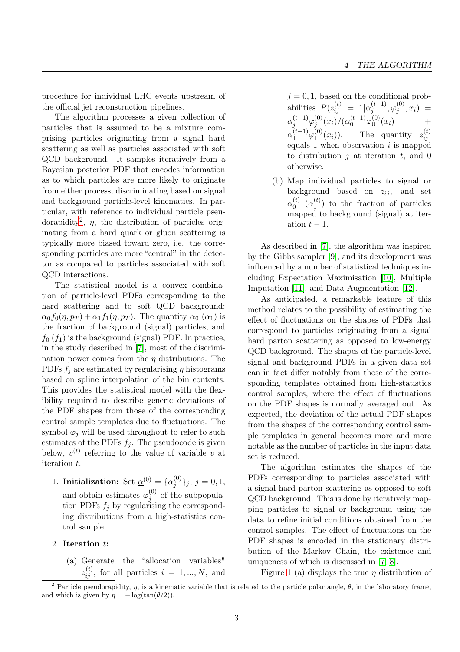procedure for individual LHC events upstream of the official jet reconstruction pipelines.

The algorithm processes a given collection of particles that is assumed to be a mixture comprising particles originating from a signal hard scattering as well as particles associated with soft QCD background. It samples iteratively from a Bayesian posterior PDF that encodes information as to which particles are more likely to originate from either process, discriminating based on signal and background particle-level kinematics. In particular, with reference to individual particle pseu-dorapidity<sup>[2](#page-2-0)</sup>,  $\eta$ , the distribution of particles originating from a hard quark or gluon scattering is typically more biased toward zero, i.e. the corresponding particles are more "central" in the detector as compared to particles associated with soft QCD interactions.

The statistical model is a convex combination of particle-level PDFs corresponding to the hard scattering and to soft QCD background:  $\alpha_0 f_0(\eta, p_T) + \alpha_1 f_1(\eta, p_T)$ . The quantity  $\alpha_0 (\alpha_1)$  is the fraction of background (signal) particles, and  $f_0(f_1)$  is the background (signal) PDF. In practice, in the study described in [\[7\]](#page-4-6), most of the discrimination power comes from the  $\eta$  distributions. The PDFs  $f_i$  are estimated by regularising  $\eta$  histograms based on spline interpolation of the bin contents. This provides the statistical model with the flexibility required to describe generic deviations of the PDF shapes from those of the corresponding control sample templates due to fluctuations. The symbol  $\varphi_i$  will be used throughout to refer to such estimates of the PDFs  $f_i$ . The pseudocode is given below,  $v^{(t)}$  referring to the value of variable v at iteration t.

- 1. Initialization: Set  $\underline{\alpha}^{(0)} = {\alpha_j^{(0)}}$  $\{j^{(0)}\}_j, j = 0, 1,$ and obtain estimates  $\varphi_i^{(0)}$  $j^{(0)}$  of the subpopulation PDFs  $f_i$  by regularising the corresponding distributions from a high-statistics control sample.
- 2. Iteration t:
	- (a) Generate the "allocation variables"  $z_{ij}^{(t)}$ , for all particles  $i = 1, ..., N$ , and

 $j = 0, 1$ , based on the conditional probabilities  $P(z_{ij}^{(t)} = 1 | \alpha_j^{(t-1)})$  $_{j}^{(t-1)},\varphi_{j}^{(0)}$  $j^{(0)}, x_i) =$  $\alpha_j^{(t-1)}\varphi_j^{(0)}$  $j^{(0)}(x_i)/(\alpha_0^{(t-1)}\varphi_0^{(0)})$  $0^{(0)}(x_i)$  +  $\alpha_1^{(t-1)}\varphi_1^{(0)}$  $\mathcal{L}_1^{(0)}(x_i)$ . The quantity  $z_{ij}^{(t)}$ ij equals 1 when observation  $i$  is mapped to distribution  $j$  at iteration  $t$ , and 0 otherwise.

(b) Map individual particles to signal or background based on  $z_{ij}$ , and set  $\alpha_0^{(t)}$  $\overset{(t)}{0}$   $(\alpha_1^{(t)}$  $\binom{1}{1}$  to the fraction of particles mapped to background (signal) at iteration  $t-1$ .

As described in [\[7\]](#page-4-6), the algorithm was inspired by the Gibbs sampler [\[9\]](#page-4-8), and its development was influenced by a number of statistical techniques including Expectation Maximisation [\[10\]](#page-5-0), Multiple Imputation [\[11\]](#page-5-1), and Data Augmentation [\[12\]](#page-5-2).

As anticipated, a remarkable feature of this method relates to the possibility of estimating the effect of fluctuations on the shapes of PDFs that correspond to particles originating from a signal hard parton scattering as opposed to low-energy QCD background. The shapes of the particle-level signal and background PDFs in a given data set can in fact differ notably from those of the corresponding templates obtained from high-statistics control samples, where the effect of fluctuations on the PDF shapes is normally averaged out. As expected, the deviation of the actual PDF shapes from the shapes of the corresponding control sample templates in general becomes more and more notable as the number of particles in the input data set is reduced.

The algorithm estimates the shapes of the PDFs corresponding to particles associated with a signal hard parton scattering as opposed to soft QCD background. This is done by iteratively mapping particles to signal or background using the data to refine initial conditions obtained from the control samples. The effect of fluctuations on the PDF shapes is encoded in the stationary distribution of the Markov Chain, the existence and uniqueness of which is discussed in [\[7,](#page-4-6) [8\]](#page-4-7).

Figure [1](#page-4-9) (a) displays the true  $\eta$  distribution of

<span id="page-2-0"></span><sup>&</sup>lt;sup>2</sup> Particle pseudorapidity,  $\eta$ , is a kinematic variable that is related to the particle polar angle,  $\theta$ , in the laboratory frame, and which is given by  $\eta = -\log(\tan(\theta/2)).$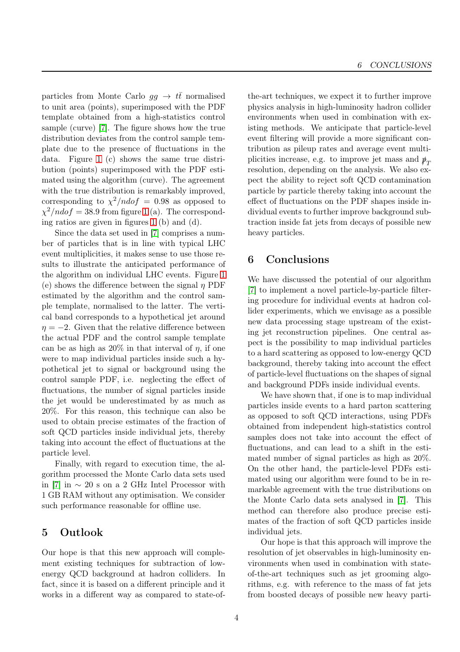particles from Monte Carlo  $gg \to t\bar{t}$  normalised to unit area (points), superimposed with the PDF template obtained from a high-statistics control sample (curve) [\[7\]](#page-4-6). The figure shows how the true distribution deviates from the control sample template due to the presence of fluctuations in the data. Figure [1](#page-4-9) (c) shows the same true distribution (points) superimposed with the PDF estimated using the algorithm (curve). The agreement with the true distribution is remarkably improved, corresponding to  $\chi^2/ndof = 0.98$  as opposed to  $\chi^2/ndof = 38.9$  from figure [1](#page-4-9) (a). The corresponding ratios are given in figures [1](#page-4-9) (b) and (d).

Since the data set used in [\[7\]](#page-4-6) comprises a number of particles that is in line with typical LHC event multiplicities, it makes sense to use those results to illustrate the anticipated performance of the algorithm on individual LHC events. Figure [1](#page-4-9) (e) shows the difference between the signal  $\eta$  PDF estimated by the algorithm and the control sample template, normalised to the latter. The vertical band corresponds to a hypothetical jet around  $\eta = -2$ . Given that the relative difference between the actual PDF and the control sample template can be as high as  $20\%$  in that interval of  $\eta$ , if one were to map individual particles inside such a hypothetical jet to signal or background using the control sample PDF, i.e. neglecting the effect of fluctuations, the number of signal particles inside the jet would be underestimated by as much as 20%. For this reason, this technique can also be used to obtain precise estimates of the fraction of soft QCD particles inside individual jets, thereby taking into account the effect of fluctuations at the particle level.

Finally, with regard to execution time, the algorithm processed the Monte Carlo data sets used in [\[7\]](#page-4-6) in ∼ 20 s on a 2 GHz Intel Processor with 1 GB RAM without any optimisation. We consider such performance reasonable for offline use.

### 5 Outlook

Our hope is that this new approach will complement existing techniques for subtraction of lowenergy QCD background at hadron colliders. In fact, since it is based on a different principle and it works in a different way as compared to state-of-

the-art techniques, we expect it to further improve physics analysis in high-luminosity hadron collider environments when used in combination with existing methods. We anticipate that particle-level event filtering will provide a more significant contribution as pileup rates and average event multiplicities increase, e.g. to improve jet mass and  $\psi_T$ resolution, depending on the analysis. We also expect the ability to reject soft QCD contamination particle by particle thereby taking into account the effect of fluctuations on the PDF shapes inside individual events to further improve background subtraction inside fat jets from decays of possible new heavy particles.

# 6 Conclusions

We have discussed the potential of our algorithm [\[7\]](#page-4-6) to implement a novel particle-by-particle filtering procedure for individual events at hadron collider experiments, which we envisage as a possible new data processing stage upstream of the existing jet reconstruction pipelines. One central aspect is the possibility to map individual particles to a hard scattering as opposed to low-energy QCD background, thereby taking into account the effect of particle-level fluctuations on the shapes of signal and background PDFs inside individual events.

We have shown that, if one is to map individual particles inside events to a hard parton scattering as opposed to soft QCD interactions, using PDFs obtained from independent high-statistics control samples does not take into account the effect of fluctuations, and can lead to a shift in the estimated number of signal particles as high as 20%. On the other hand, the particle-level PDFs estimated using our algorithm were found to be in remarkable agreement with the true distributions on the Monte Carlo data sets analysed in [\[7\]](#page-4-6). This method can therefore also produce precise estimates of the fraction of soft QCD particles inside individual jets.

Our hope is that this approach will improve the resolution of jet observables in high-luminosity environments when used in combination with stateof-the-art techniques such as jet grooming algorithms, e.g. with reference to the mass of fat jets from boosted decays of possible new heavy parti-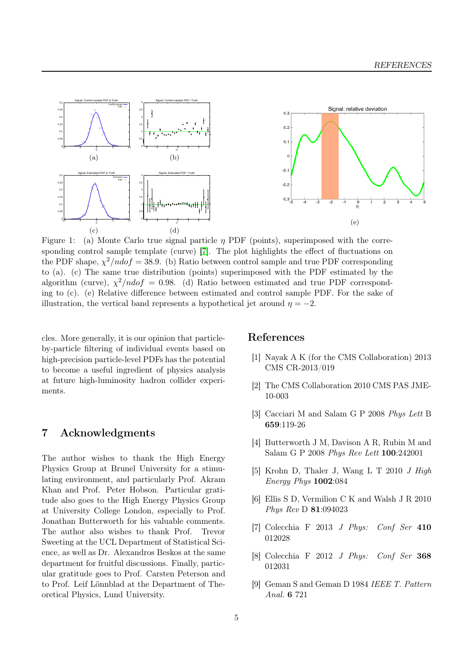<span id="page-4-9"></span>

Figure 1: (a) Monte Carlo true signal particle  $\eta$  PDF (points), superimposed with the corresponding control sample template (curve) [\[7\]](#page-4-6). The plot highlights the effect of fluctuations on the PDF shape,  $\chi^2/ndof = 38.9$ . (b) Ratio between control sample and true PDF corresponding to (a). (c) The same true distribution (points) superimposed with the PDF estimated by the algorithm (curve),  $\chi^2/ndof = 0.98$ . (d) Ratio between estimated and true PDF corresponding to (c). (e) Relative difference between estimated and control sample PDF. For the sake of illustration, the vertical band represents a hypothetical jet around  $\eta = -2$ .

cles. More generally, it is our opinion that particleby-particle filtering of individual events based on high-precision particle-level PDFs has the potential to become a useful ingredient of physics analysis at future high-luminosity hadron collider experiments.

#### 7 Acknowledgments

The author wishes to thank the High Energy Physics Group at Brunel University for a stimulating environment, and particularly Prof. Akram Khan and Prof. Peter Hobson. Particular gratitude also goes to the High Energy Physics Group at University College London, especially to Prof. Jonathan Butterworth for his valuable comments. The author also wishes to thank Prof. Trevor Sweeting at the UCL Department of Statistical Science, as well as Dr. Alexandros Beskos at the same department for fruitful discussions. Finally, particular gratitude goes to Prof. Carsten Peterson and to Prof. Leif Lönnblad at the Department of Theoretical Physics, Lund University.

#### <span id="page-4-0"></span>References

- [1] Nayak A K (for the CMS Collaboration) 2013 CMS CR-2013/019
- <span id="page-4-2"></span><span id="page-4-1"></span>[2] The CMS Collaboration 2010 CMS PAS JME-10-003
- <span id="page-4-3"></span>[3] Cacciari M and Salam G P 2008 *Phys Lett* B 659:119-26
- [4] Butterworth J M, Davison A R, Rubin M and Salam G P 2008 *Phys Rev Lett* 100:242001
- <span id="page-4-4"></span>[5] Krohn D, Thaler J, Wang L T 2010 *J High Energy Phys* 1002:084
- <span id="page-4-5"></span>[6] Ellis S D, Vermilion C K and Walsh J R 2010 *Phys Rev* D 81:094023
- <span id="page-4-7"></span><span id="page-4-6"></span>[7] Colecchia F 2013 *J Phys: Conf Ser* 410 012028
- <span id="page-4-8"></span>[8] Colecchia F 2012 *J Phys: Conf Ser* 368 012031
- [9] Geman S and Geman D 1984 *IEEE T. Pattern Anal.* 6 721